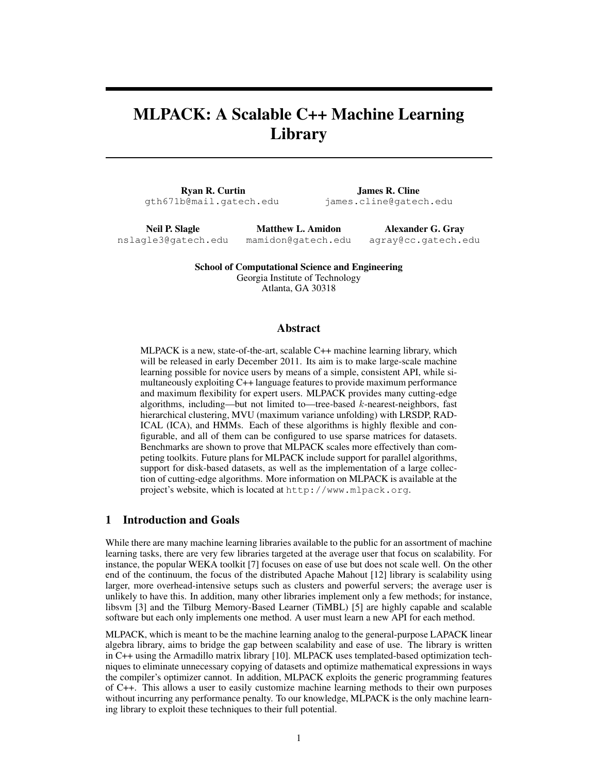# MLPACK: A Scalable C++ Machine Learning Library

Ryan R. Curtin gth671b@mail.gatech.edu

James R. Cline james.cline@gatech.edu

Neil P. Slagle nslagle3@gatech.edu

Matthew L. Amidon mamidon@gatech.edu

Alexander G. Gray agray@cc.gatech.edu

School of Computational Science and Engineering Georgia Institute of Technology Atlanta, GA 30318

## Abstract

MLPACK is a new, state-of-the-art, scalable C++ machine learning library, which will be released in early December 2011. Its aim is to make large-scale machine learning possible for novice users by means of a simple, consistent API, while simultaneously exploiting C++ language features to provide maximum performance and maximum flexibility for expert users. MLPACK provides many cutting-edge algorithms, including—but not limited to—tree-based  $k$ -nearest-neighbors, fast hierarchical clustering, MVU (maximum variance unfolding) with LRSDP, RAD-ICAL (ICA), and HMMs. Each of these algorithms is highly flexible and configurable, and all of them can be configured to use sparse matrices for datasets. Benchmarks are shown to prove that MLPACK scales more effectively than competing toolkits. Future plans for MLPACK include support for parallel algorithms, support for disk-based datasets, as well as the implementation of a large collection of cutting-edge algorithms. More information on MLPACK is available at the project's website, which is located at http://www.mlpack.org.

### 1 Introduction and Goals

While there are many machine learning libraries available to the public for an assortment of machine learning tasks, there are very few libraries targeted at the average user that focus on scalability. For instance, the popular WEKA toolkit [7] focuses on ease of use but does not scale well. On the other end of the continuum, the focus of the distributed Apache Mahout [12] library is scalability using larger, more overhead-intensive setups such as clusters and powerful servers; the average user is unlikely to have this. In addition, many other libraries implement only a few methods; for instance, libsvm [3] and the Tilburg Memory-Based Learner (TiMBL) [5] are highly capable and scalable software but each only implements one method. A user must learn a new API for each method.

MLPACK, which is meant to be the machine learning analog to the general-purpose LAPACK linear algebra library, aims to bridge the gap between scalability and ease of use. The library is written in C++ using the Armadillo matrix library [10]. MLPACK uses templated-based optimization techniques to eliminate unnecessary copying of datasets and optimize mathematical expressions in ways the compiler's optimizer cannot. In addition, MLPACK exploits the generic programming features of C++. This allows a user to easily customize machine learning methods to their own purposes without incurring any performance penalty. To our knowledge, MLPACK is the only machine learning library to exploit these techniques to their full potential.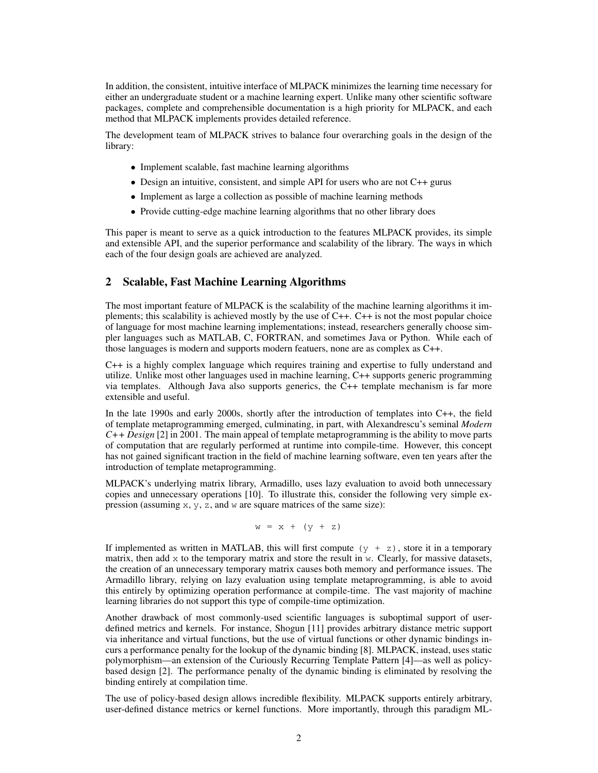In addition, the consistent, intuitive interface of MLPACK minimizes the learning time necessary for either an undergraduate student or a machine learning expert. Unlike many other scientific software packages, complete and comprehensible documentation is a high priority for MLPACK, and each method that MLPACK implements provides detailed reference.

The development team of MLPACK strives to balance four overarching goals in the design of the library:

- Implement scalable, fast machine learning algorithms
- Design an intuitive, consistent, and simple API for users who are not C++ gurus
- Implement as large a collection as possible of machine learning methods
- Provide cutting-edge machine learning algorithms that no other library does

This paper is meant to serve as a quick introduction to the features MLPACK provides, its simple and extensible API, and the superior performance and scalability of the library. The ways in which each of the four design goals are achieved are analyzed.

## 2 Scalable, Fast Machine Learning Algorithms

The most important feature of MLPACK is the scalability of the machine learning algorithms it implements; this scalability is achieved mostly by the use of  $C_{++}$ .  $C_{++}$  is not the most popular choice of language for most machine learning implementations; instead, researchers generally choose simpler languages such as MATLAB, C, FORTRAN, and sometimes Java or Python. While each of those languages is modern and supports modern featuers, none are as complex as C++.

C++ is a highly complex language which requires training and expertise to fully understand and utilize. Unlike most other languages used in machine learning, C++ supports generic programming via templates. Although Java also supports generics, the C++ template mechanism is far more extensible and useful.

In the late 1990s and early 2000s, shortly after the introduction of templates into C++, the field of template metaprogramming emerged, culminating, in part, with Alexandrescu's seminal *Modern C++ Design* [2] in 2001. The main appeal of template metaprogramming is the ability to move parts of computation that are regularly performed at runtime into compile-time. However, this concept has not gained significant traction in the field of machine learning software, even ten years after the introduction of template metaprogramming.

MLPACK's underlying matrix library, Armadillo, uses lazy evaluation to avoid both unnecessary copies and unnecessary operations [10]. To illustrate this, consider the following very simple expression (assuming x, y, z, and w are square matrices of the same size):

$$
w = x + (y + z)
$$

If implemented as written in MATLAB, this will first compute  $(y + z)$ , store it in a temporary matrix, then add  $x$  to the temporary matrix and store the result in  $w$ . Clearly, for massive datasets, the creation of an unnecessary temporary matrix causes both memory and performance issues. The Armadillo library, relying on lazy evaluation using template metaprogramming, is able to avoid this entirely by optimizing operation performance at compile-time. The vast majority of machine learning libraries do not support this type of compile-time optimization.

Another drawback of most commonly-used scientific languages is suboptimal support of userdefined metrics and kernels. For instance, Shogun [11] provides arbitrary distance metric support via inheritance and virtual functions, but the use of virtual functions or other dynamic bindings incurs a performance penalty for the lookup of the dynamic binding [8]. MLPACK, instead, uses static polymorphism—an extension of the Curiously Recurring Template Pattern [4]—as well as policybased design [2]. The performance penalty of the dynamic binding is eliminated by resolving the binding entirely at compilation time.

The use of policy-based design allows incredible flexibility. MLPACK supports entirely arbitrary, user-defined distance metrics or kernel functions. More importantly, through this paradigm ML-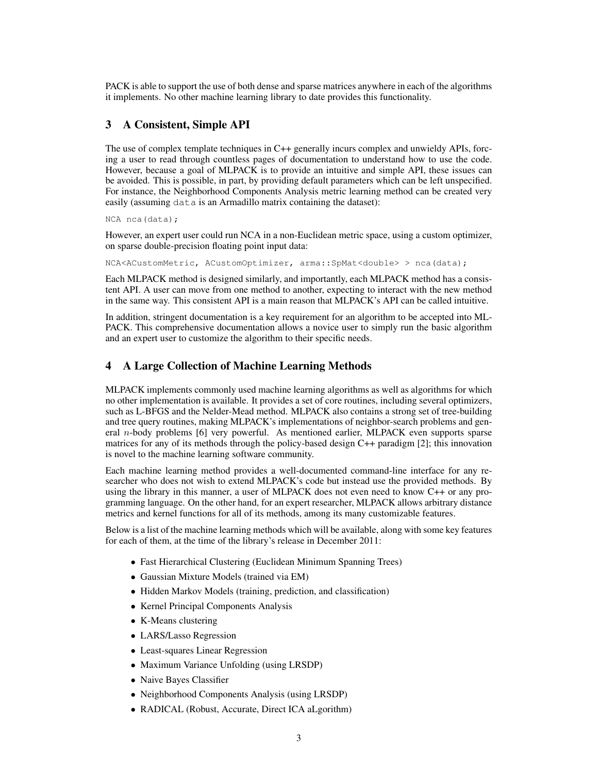PACK is able to support the use of both dense and sparse matrices anywhere in each of the algorithms it implements. No other machine learning library to date provides this functionality.

# 3 A Consistent, Simple API

The use of complex template techniques in C++ generally incurs complex and unwieldy APIs, forcing a user to read through countless pages of documentation to understand how to use the code. However, because a goal of MLPACK is to provide an intuitive and simple API, these issues can be avoided. This is possible, in part, by providing default parameters which can be left unspecified. For instance, the Neighborhood Components Analysis metric learning method can be created very easily (assuming data is an Armadillo matrix containing the dataset):

NCA nca(data);

However, an expert user could run NCA in a non-Euclidean metric space, using a custom optimizer, on sparse double-precision floating point input data:

NCA<ACustomMetric, ACustomOptimizer, arma::SpMat<double> > nca(data);

Each MLPACK method is designed similarly, and importantly, each MLPACK method has a consistent API. A user can move from one method to another, expecting to interact with the new method in the same way. This consistent API is a main reason that MLPACK's API can be called intuitive.

In addition, stringent documentation is a key requirement for an algorithm to be accepted into ML-PACK. This comprehensive documentation allows a novice user to simply run the basic algorithm and an expert user to customize the algorithm to their specific needs.

# 4 A Large Collection of Machine Learning Methods

MLPACK implements commonly used machine learning algorithms as well as algorithms for which no other implementation is available. It provides a set of core routines, including several optimizers, such as L-BFGS and the Nelder-Mead method. MLPACK also contains a strong set of tree-building and tree query routines, making MLPACK's implementations of neighbor-search problems and general n-body problems [6] very powerful. As mentioned earlier, MLPACK even supports sparse matrices for any of its methods through the policy-based design C++ paradigm [2]; this innovation is novel to the machine learning software community.

Each machine learning method provides a well-documented command-line interface for any researcher who does not wish to extend MLPACK's code but instead use the provided methods. By using the library in this manner, a user of MLPACK does not even need to know C++ or any programming language. On the other hand, for an expert researcher, MLPACK allows arbitrary distance metrics and kernel functions for all of its methods, among its many customizable features.

Below is a list of the machine learning methods which will be available, along with some key features for each of them, at the time of the library's release in December 2011:

- Fast Hierarchical Clustering (Euclidean Minimum Spanning Trees)
- Gaussian Mixture Models (trained via EM)
- Hidden Markov Models (training, prediction, and classification)
- Kernel Principal Components Analysis
- K-Means clustering
- LARS/Lasso Regression
- Least-squares Linear Regression
- Maximum Variance Unfolding (using LRSDP)
- Naive Bayes Classifier
- Neighborhood Components Analysis (using LRSDP)
- RADICAL (Robust, Accurate, Direct ICA aLgorithm)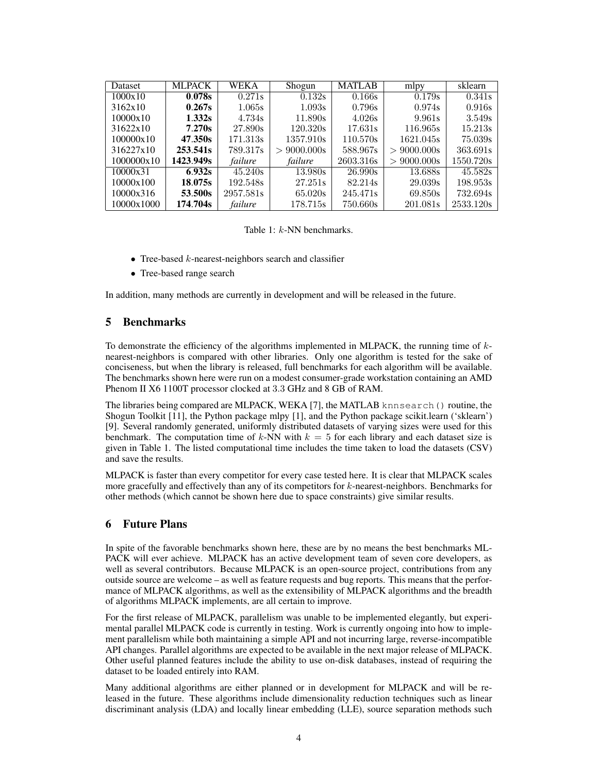| <b>Dataset</b> | <b>MLPACK</b>         | WEKA      | Shogun         | <b>MATLAB</b> | mlpy           | sklearn   |
|----------------|-----------------------|-----------|----------------|---------------|----------------|-----------|
| 1000x10        | 0.078s                | 0.271s    | 0.132s         | 0.166s        | 0.179s         | 0.341s    |
| 3162x10        | 0.267s                | 1.065s    | 1.093s         | 0.796s        | 0.974s         | 0.916s    |
| 10000x10       | 1.332s                | 4.734s    | 11.890s        | 4.026s        | 9.961s         | 3.549s    |
| 31622x10       | 7.270s                | 27.890s   | 120.320s       | 17.631s       | 116.965s       | 15.213s   |
| 100000x10      | 47.350s               | 171.313s  | 1357.910s      | 110.570s      | 1621.045s      | 75.039s   |
| 316227x10      | 253.541s              | 789.317s  | $> 9000.000$ s | 588.967s      | $> 9000.000$ s | 363.691s  |
| 1000000x10     | 1423.949 <sub>S</sub> | failure   | failure        | 2603.316s     | $> 9000.000$ s | 1550.720s |
| 10000x31       | 6.932s                | 45.240s   | 13.980s        | 26.990s       | 13.688s        | 45.582s   |
| 10000x100      | 18.075s               | 192.548s  | 27.251s        | 82.214s       | 29.039s        | 198.953s  |
| 10000x316      | 53.500s               | 2957.581s | 65.020s        | 245.471s      | 69.850s        | 732.694s  |
| 10000x1000     | 174.704s              | failure   | 178.715s       | 750.660s      | 201.081s       | 2533.120s |

Table 1: k-NN benchmarks.

- Tree-based  $k$ -nearest-neighbors search and classifier
- Tree-based range search

In addition, many methods are currently in development and will be released in the future.

# 5 Benchmarks

To demonstrate the efficiency of the algorithms implemented in MLPACK, the running time of  $k$ nearest-neighbors is compared with other libraries. Only one algorithm is tested for the sake of conciseness, but when the library is released, full benchmarks for each algorithm will be available. The benchmarks shown here were run on a modest consumer-grade workstation containing an AMD Phenom II X6 1100T processor clocked at 3.3 GHz and 8 GB of RAM.

The libraries being compared are MLPACK, WEKA [7], the MATLAB knnsearch() routine, the Shogun Toolkit [11], the Python package mlpy [1], and the Python package scikit.learn ('sklearn') [9]. Several randomly generated, uniformly distributed datasets of varying sizes were used for this benchmark. The computation time of k-NN with  $k = 5$  for each library and each dataset size is given in Table 1. The listed computational time includes the time taken to load the datasets (CSV) and save the results.

MLPACK is faster than every competitor for every case tested here. It is clear that MLPACK scales more gracefully and effectively than any of its competitors for  $k$ -nearest-neighbors. Benchmarks for other methods (which cannot be shown here due to space constraints) give similar results.

# 6 Future Plans

In spite of the favorable benchmarks shown here, these are by no means the best benchmarks ML-PACK will ever achieve. MLPACK has an active development team of seven core developers, as well as several contributors. Because MLPACK is an open-source project, contributions from any outside source are welcome – as well as feature requests and bug reports. This means that the performance of MLPACK algorithms, as well as the extensibility of MLPACK algorithms and the breadth of algorithms MLPACK implements, are all certain to improve.

For the first release of MLPACK, parallelism was unable to be implemented elegantly, but experimental parallel MLPACK code is currently in testing. Work is currently ongoing into how to implement parallelism while both maintaining a simple API and not incurring large, reverse-incompatible API changes. Parallel algorithms are expected to be available in the next major release of MLPACK. Other useful planned features include the ability to use on-disk databases, instead of requiring the dataset to be loaded entirely into RAM.

Many additional algorithms are either planned or in development for MLPACK and will be released in the future. These algorithms include dimensionality reduction techniques such as linear discriminant analysis (LDA) and locally linear embedding (LLE), source separation methods such